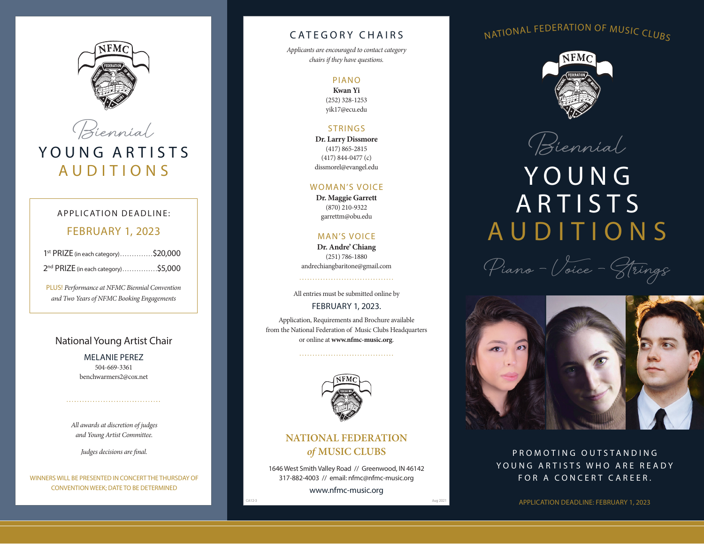



### APPLICATION DEADLINE:

# FEBRUARY 1, 2023

| 1 <sup>st</sup> PRIZE (in each category)\$20,000 |  |
|--------------------------------------------------|--|
| 2 <sup>nd</sup> PRIZE (in each category)\$5,000  |  |

PLUS! *Performance at NFMC Biennial Convention and Two Years of NFMC Booking Engagements*

### National Young Artist Chair

MELANIE PEREZ 504-669-3361 benchwarmers2@cox.net

*All awards at discretion of judges and Young Artist Committee.* 

*Judges decisions are final.*

WINNERS WILL BE PRESENTED IN CONCERT THE THURSDAY OF CONVENTION WEEK; DATE TO BE DETERMINED

# CATEGORY CHAIRS

*Applicants are encouraged to contact category chairs if they have questions.*

#### PIANO

**Kwan Yi** (252) 328-1253 yik17@ecu.edu

### STRINGS

**Dr. Larry Dissmore** (417) 865-2815 (417) 844-0477 (c) dissmorel@evangel.edu

#### WOMAN'S VOICE

**Dr. Maggie Garrett** (870) 210-9322 garrettm@obu.edu

### MAN'S VOICE

**Dr. Andre' Chiang** (251) 786-1880 andrechiangbaritone@gmail.com

All entries must be submitted online by

#### FEBRUARY 1, 2023.

Application, Requirements and Brochure available from the National Federation of Music Clubs Headquarters or online at **www.nfmc-music.org**.



# **NATIONAL FEDERATION**  *of* **MUSIC CLUBS**

1646 West Smith Valley Road // Greenwood, IN 46142 317-882-4003 // email: nfmc@nfmc-music.org www.nfmc-music.org

# NATIONAL FEDERATION OF MUSIC CLUBS



**Biennial**

# **YOUNG ARTISTS** AUDITIONS

**Piano – Voice – Strings** 



PROMOTING OUTSTANDING YOUNG ARTISTS WHO ARE READY FOR A CONCERT CAREER.

APPLICATION DEADLINE: FEBRUARY 1, 2023